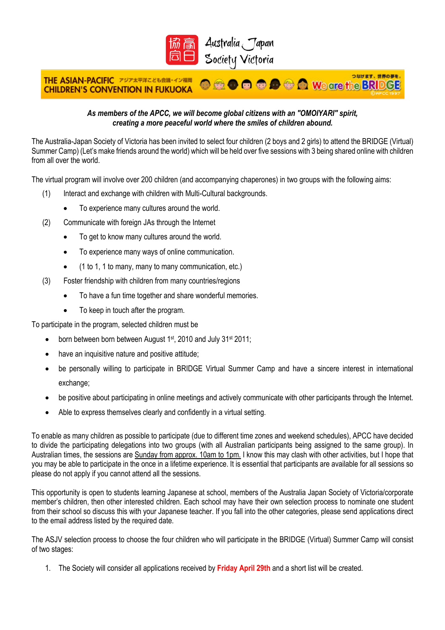

Australia Japan Society Victoria

## つなげます、世界の夢を、 THE ASIAN-PACIFIC アジア太平洋こども会議·イン福岡 **O a o o o o d a we are the BRIDGE CHILDREN'S CONVENTION IN FUKUOKA**

## *As members of the APCC, we will become global citizens with an "OMOIYARI" spirit, creating a more peaceful world where the smiles of children abound.*

The Australia-Japan Society of Victoria has been invited to select four children (2 boys and 2 girls) to attend the BRIDGE (Virtual) Summer Camp) (Let's make friends around the world) which will be held over five sessions with 3 being shared online with children from all over the world.

The virtual program will involve over 200 children (and accompanying chaperones) in two groups with the following aims:

- (1) Interact and exchange with children with Multi-Cultural backgrounds.
	- To experience many cultures around the world.
- (2) Communicate with foreign JAs through the Internet
	- To get to know many cultures around the world.
	- To experience many ways of online communication.
	- (1 to 1, 1 to many, many to many communication, etc.)
- (3) Foster friendship with children from many countries/regions
	- To have a fun time together and share wonderful memories.
	- To keep in touch after the program.

To participate in the program, selected children must be

- born between born between August 1<sup>st</sup>, 2010 and July 31<sup>st</sup> 2011;
- have an inquisitive nature and positive attitude;
- be personally willing to participate in BRIDGE Virtual Summer Camp and have a sincere interest in international exchange;
- be positive about participating in online meetings and actively communicate with other participants through the Internet.
- Able to express themselves clearly and confidently in a virtual setting.

To enable as many children as possible to participate (due to different time zones and weekend schedules), APCC have decided to divide the participating delegations into two groups (with all Australian participants being assigned to the same group). In Australian times, the sessions are Sunday from approx. 10am to 1pm. I know this may clash with other activities, but I hope that you may be able to participate in the once in a lifetime experience. It is essential that participants are available for all sessions so please do not apply if you cannot attend all the sessions.

This opportunity is open to students learning Japanese at school, members of the Australia Japan Society of Victoria/corporate member's children, then other interested children. Each school may have their own selection process to nominate one student from their school so discuss this with your Japanese teacher. If you fall into the other categories, please send applications direct to the email address listed by the required date.

The ASJV selection process to choose the four children who will participate in the BRIDGE (Virtual) Summer Camp will consist of two stages:

1. The Society will consider all applications received by **Friday April 29th** and a short list will be created.